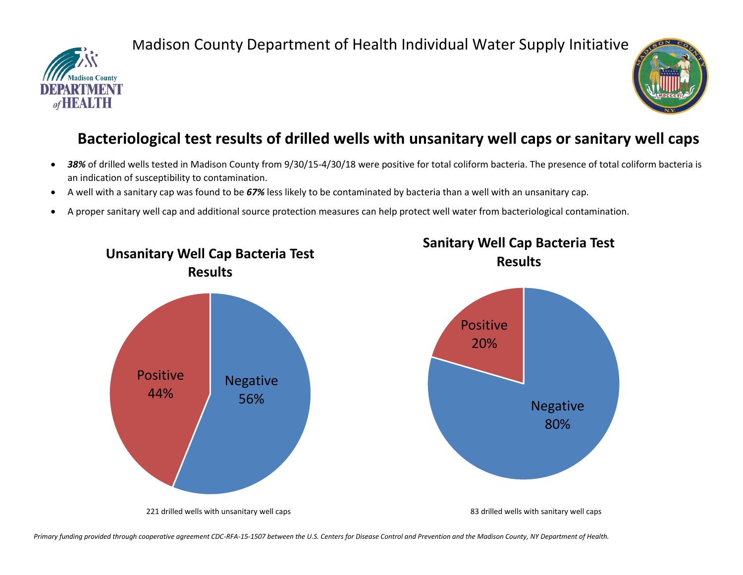

## Madison County Department of Health Individual Water Supply Initiative



## **Bacteriological test results of drilled wells with unsanitary well caps or sanitary well caps**

- 38% of drilled wells tested in Madison County from 9/30/15-4/30/18 were positive for total coliform bacteria. The presence of total coliform bacteria is an indication of susceptibility to contamination.
- A well with a sanitary cap was found to be *67%* less likely to be contaminated by bacteria than a well with an unsanitary cap.
- A proper sanitary well cap and additional source protection measures can help protect well water from bacteriological contamination.



*Primary funding provided through cooperative agreement CDC-RFA-15-1507 between the U.S. Centers for Disease Control and Prevention and the Madison County, NY Department of Health.*